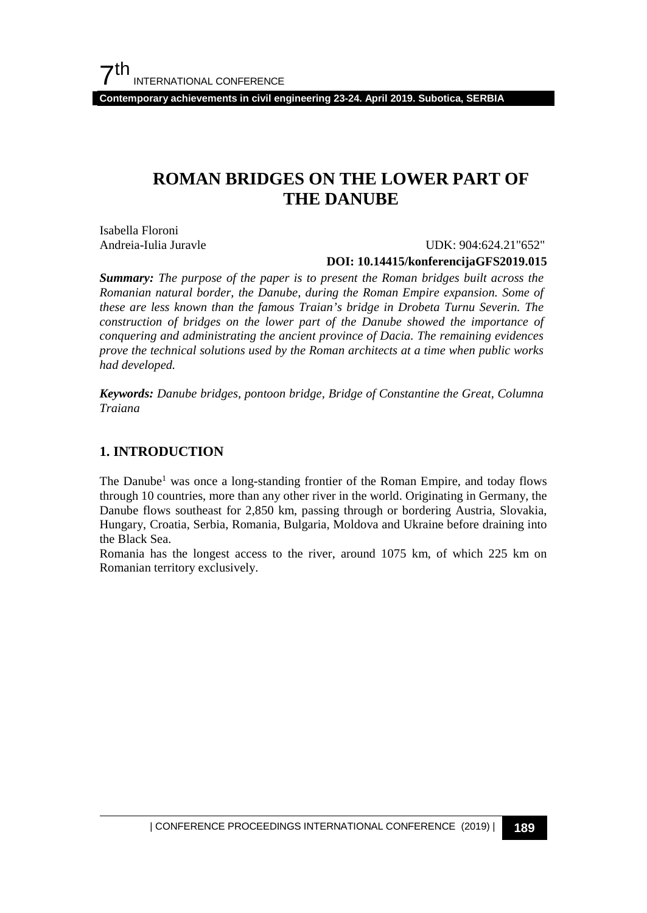**Contemporary achievements in civil engineering 23-24. April 2019. Subotica, SERBIA**

# **ROMAN BRIDGES ON THE LOWER PART OF THE DANUBE**

Isabella Floroni

Andreia-Iulia Juravle UDK: 904:624.21"652"

#### **DOI: 10.14415/konferencijaGFS2019.015**

*Summary: The purpose of the paper is to present the Roman bridges built across the Romanian natural border, the Danube, during the Roman Empire expansion. Some of these are less known than the famous Traian's bridge in Drobeta Turnu Severin. The construction of bridges on the lower part of the Danube showed the importance of conquering and administrating the ancient province of Dacia. The remaining evidences prove the technical solutions used by the Roman architects at a time when public works had developed.* 

*Keywords: Danube bridges, pontoon bridge, Bridge of Constantine the Great, Columna Traiana*

### **1. INTRODUCTION**

The Danube<sup>1</sup> was once a long-standing frontier of the Roman Empire, and today flows through 10 countries, more than any other river in the world. Originating in Germany, the Danube flows southeast for 2,850 km, passing through or bordering Austria, Slovakia, Hungary, Croatia, Serbia, Romania, Bulgaria, Moldova and Ukraine before draining into the Black Sea.

Romania has the longest access to the river, around 1075 km, of which 225 km on Romanian territory exclusively.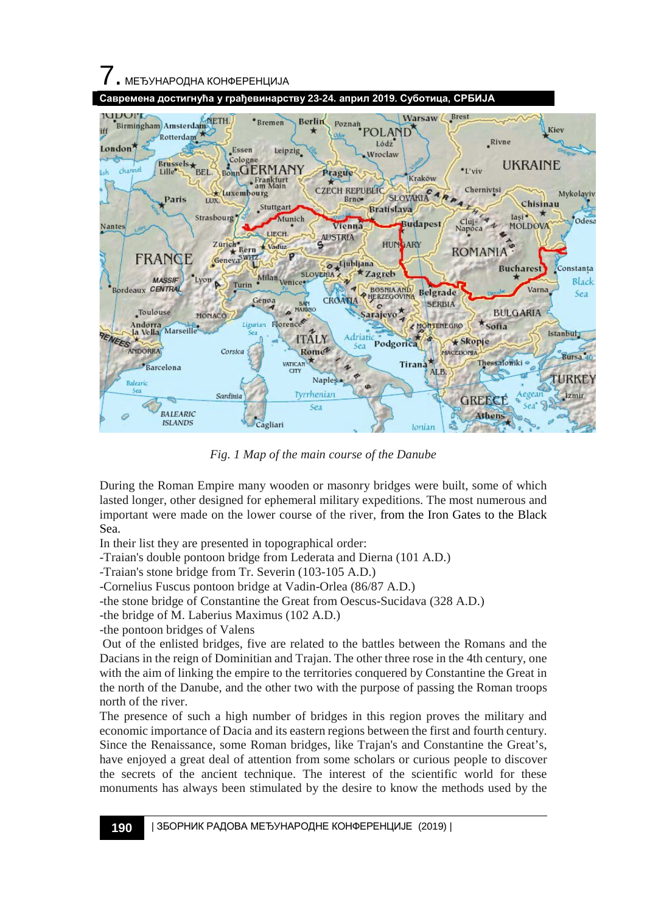



*Fig. 1 Map of the main course of the Danube*

During the Roman Empire many wooden or masonry bridges were built, some of which lasted longer, other designed for ephemeral military expeditions. The most numerous and important were made on the lower course of the river, from the Iron Gates to the Black Sea.

In their list they are presented in topographical order:

-Traian's double pontoon bridge from Lederata and Dierna (101 A.D.)

-Traian's stone bridge from Tr. Severin (103-105 A.D.)

-Cornelius Fuscus pontoon bridge at Vadin-Orlea (86/87 A.D.)

-the stone bridge of Constantine the Great from Oescus-Sucidava (328 A.D.)

-the bridge of M. Laberius Maximus (102 A.D.)

-the pontoon bridges of Valens

Out of the enlisted bridges, five are related to the battles between the Romans and the Dacians in the reign of Dominitian and Trajan. The other three rose in the 4th century, one with the aim of linking the empire to the territories conquered by Constantine the Great in the north of the Danube, and the other two with the purpose of passing the Roman troops north of the river.

The presence of such a high number of bridges in this region proves the military and economic importance of Dacia and its eastern regions between the first and fourth century. Since the Renaissance, some Roman bridges, like Trajan's and Constantine the Great's, have enjoyed a great deal of attention from some scholars or curious people to discover the secrets of the ancient technique. The interest of the scientific world for these monuments has always been stimulated by the desire to know the methods used by the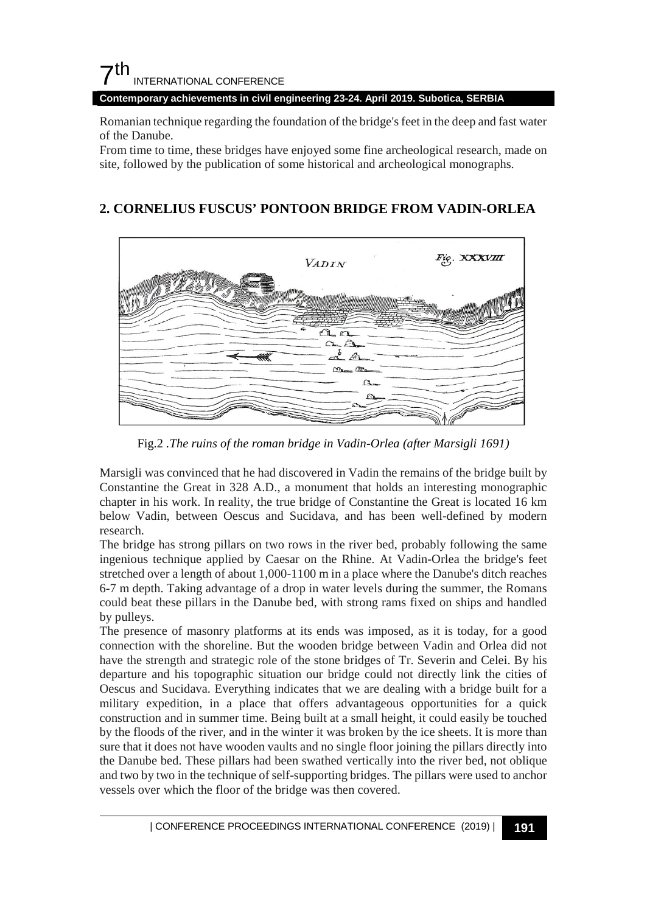**Contemporary achievements in civil engineering 23-24. April 2019. Subotica, SERBIA**

Romanian technique regarding the foundation of the bridge's feet in the deep and fast water of the Danube.

From time to time, these bridges have enjoyed some fine archeological research, made on site, followed by the publication of some historical and archeological monographs.

# **2. CORNELIUS FUSCUS' PONTOON BRIDGE FROM VADIN-ORLEA**



Fig.2 *.The ruins of the roman bridge in Vadin-Orlea (after Marsigli 1691)*

Marsigli was convinced that he had discovered in Vadin the remains of the bridge built by Constantine the Great in 328 A.D., a monument that holds an interesting monographic chapter in his work. In reality, the true bridge of Constantine the Great is located 16 km below Vadin, between Oescus and Sucidava, and has been well-defined by modern research.

The bridge has strong pillars on two rows in the river bed, probably following the same ingenious technique applied by Caesar on the Rhine. At Vadin-Orlea the bridge's feet stretched over a length of about 1,000-1100 m in a place where the Danube's ditch reaches 6-7 m depth. Taking advantage of a drop in water levels during the summer, the Romans could beat these pillars in the Danube bed, with strong rams fixed on ships and handled by pulleys.

The presence of masonry platforms at its ends was imposed, as it is today, for a good connection with the shoreline. But the wooden bridge between Vadin and Orlea did not have the strength and strategic role of the stone bridges of Tr. Severin and Celei. By his departure and his topographic situation our bridge could not directly link the cities of Oescus and Sucidava. Everything indicates that we are dealing with a bridge built for a military expedition, in a place that offers advantageous opportunities for a quick construction and in summer time. Being built at a small height, it could easily be touched by the floods of the river, and in the winter it was broken by the ice sheets. It is more than sure that it does not have wooden vaults and no single floor joining the pillars directly into the Danube bed. These pillars had been swathed vertically into the river bed, not oblique and two by two in the technique of self-supporting bridges. The pillars were used to anchor vessels over which the floor of the bridge was then covered.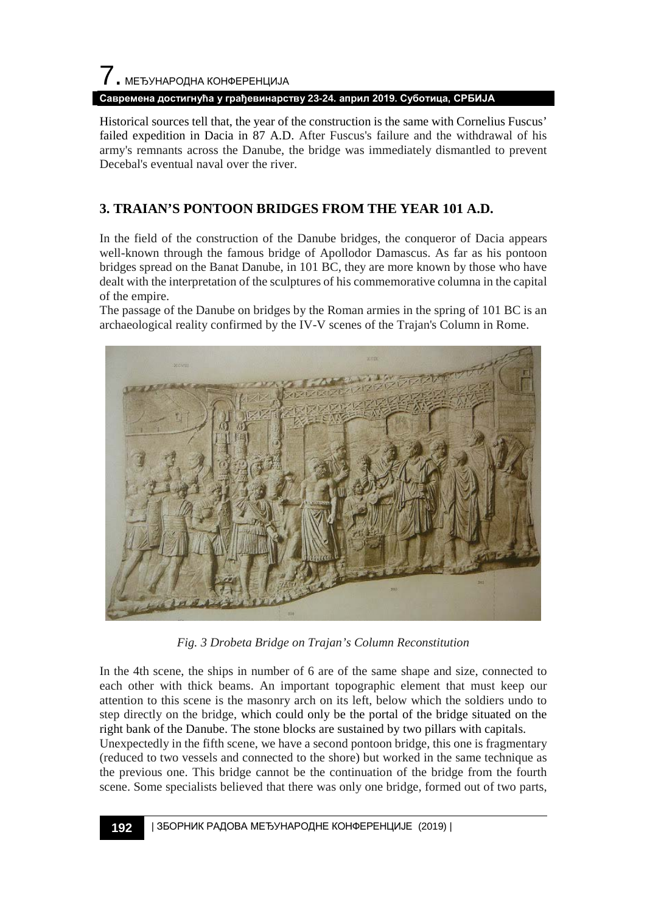# 7. МЕЂУНАРОДНА КОНФЕРЕНЦИЈА

#### **Савремена достигнућа у грађевинарству 23-24. април 2019. Суботица, СРБИЈА**

Historical sources tell that, the year of the construction is the same with Cornelius Fuscus' failed expedition in Dacia in 87 A.D. After Fuscus's failure and the withdrawal of his army's remnants across the Danube, the bridge was immediately dismantled to prevent Decebal's eventual naval over the river.

## **3. TRAIAN'S PONTOON BRIDGES FROM THE YEAR 101 A.D.**

In the field of the construction of the Danube bridges, the conqueror of Dacia appears well-known through the famous bridge of Apollodor Damascus. As far as his pontoon bridges spread on the Banat Danube, in 101 BC, they are more known by those who have dealt with the interpretation of the sculptures of his commemorative columna in the capital of the empire.

The passage of the Danube on bridges by the Roman armies in the spring of 101 BC is an archaeological reality confirmed by the IV-V scenes of the Trajan's Column in Rome.



*Fig. 3 Drobeta Bridge on Trajan's Column Reconstitution*

In the 4th scene, the ships in number of 6 are of the same shape and size, connected to each other with thick beams. An important topographic element that must keep our attention to this scene is the masonry arch on its left, below which the soldiers undo to step directly on the bridge, which could only be the portal of the bridge situated on the right bank of the Danube. The stone blocks are sustained by two pillars with capitals.

Unexpectedly in the fifth scene, we have a second pontoon bridge, this one is fragmentary (reduced to two vessels and connected to the shore) but worked in the same technique as the previous one. This bridge cannot be the continuation of the bridge from the fourth scene. Some specialists believed that there was only one bridge, formed out of two parts,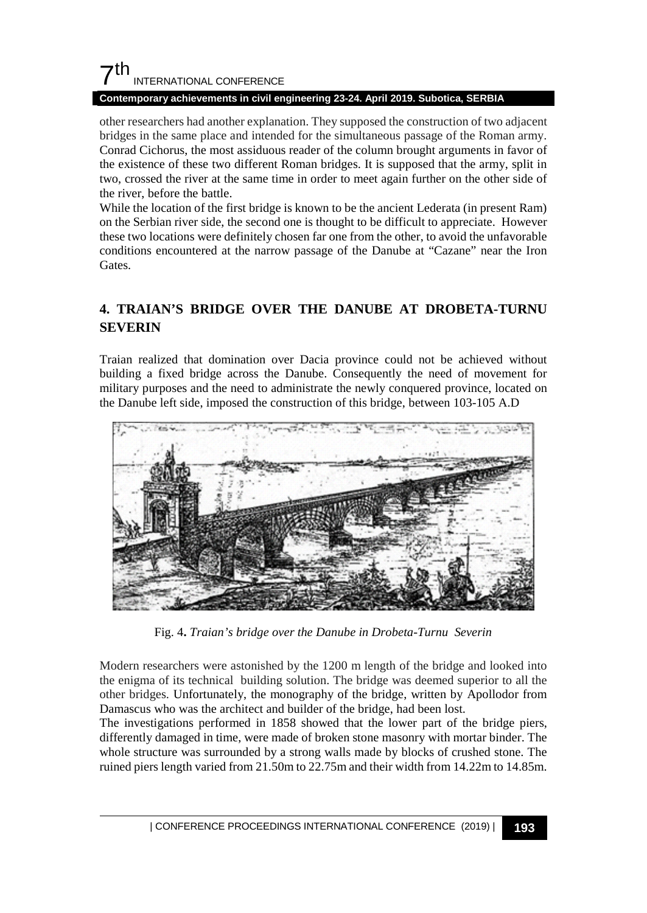#### **Contemporary achievements in civil engineering 23-24. April 2019. Subotica, SERBIA**

other researchers had another explanation. They supposed the construction of two adjacent bridges in the same place and intended for the simultaneous passage of the Roman army. Conrad Cichorus, the most assiduous reader of the column brought arguments in favor of the existence of these two different Roman bridges. It is supposed that the army, split in two, crossed the river at the same time in order to meet again further on the other side of the river, before the battle.

While the location of the first bridge is known to be the ancient Lederata (in present Ram) on the Serbian river side, the second one is thought to be difficult to appreciate. However these two locations were definitely chosen far one from the other, to avoid the unfavorable conditions encountered at the narrow passage of the Danube at "Cazane" near the Iron Gates.

# **4. TRAIAN'S BRIDGE OVER THE DANUBE AT DROBETA-TURNU SEVERIN**

Traian realized that domination over Dacia province could not be achieved without building a fixed bridge across the Danube. Consequently the need of movement for military purposes and the need to administrate the newly conquered province, located on the Danube left side, imposed the construction of this bridge, between 103-105 A.D



Fig. 4**.** *Traian's bridge over the Danube in Drobeta-Turnu Severin*

Modern researchers were astonished by the 1200 m length of the bridge and looked into the enigma of its technical building solution. The bridge was deemed superior to all the other bridges. Unfortunately, the monography of the bridge, written by Apollodor from Damascus who was the architect and builder of the bridge, had been lost.

The investigations performed in 1858 showed that the lower part of the bridge piers, differently damaged in time, were made of broken stone masonry with mortar binder. The whole structure was surrounded by a strong walls made by blocks of crushed stone. The ruined piers length varied from 21.50m to 22.75m and their width from 14.22m to 14.85m.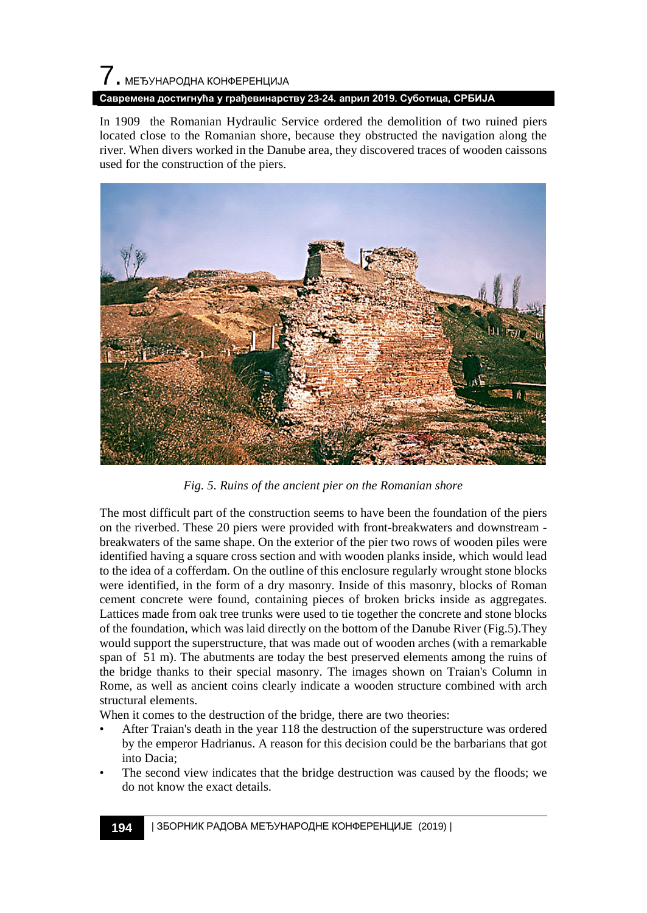# 7. МЕЂУНАРОДНА КОНФЕРЕНЦИЈА

#### **Савремена достигнућа у грађевинарству 23-24. април 2019. Суботица, СРБИЈА**

In 1909 the Romanian Hydraulic Service ordered the demolition of two ruined piers located close to the Romanian shore, because they obstructed the navigation along the river. When divers worked in the Danube area, they discovered traces of wooden caissons used for the construction of the piers.



*Fig. 5. Ruins of the ancient pier on the Romanian shore*

The most difficult part of the construction seems to have been the foundation of the piers on the riverbed. These 20 piers were provided with front-breakwaters and downstream breakwaters of the same shape. On the exterior of the pier two rows of wooden piles were identified having a square cross section and with wooden planks inside, which would lead to the idea of a cofferdam. On the outline of this enclosure regularly wrought stone blocks were identified, in the form of a dry masonry. Inside of this masonry, blocks of Roman cement concrete were found, containing pieces of broken bricks inside as aggregates. Lattices made from oak tree trunks were used to tie together the concrete and stone blocks of the foundation, which was laid directly on the bottom of the Danube River (Fig.5).They would support the superstructure, that was made out of wooden arches (with a remarkable span of 51 m). The abutments are today the best preserved elements among the ruins of the bridge thanks to their special masonry. The images shown on Traian's Column in Rome, as well as ancient coins clearly indicate a wooden structure combined with arch structural elements.

When it comes to the destruction of the bridge, there are two theories:

- After Traian's death in the year 118 the destruction of the superstructure was ordered by the emperor Hadrianus. A reason for this decision could be the barbarians that got into Dacia;
- The second view indicates that the bridge destruction was caused by the floods; we do not know the exact details.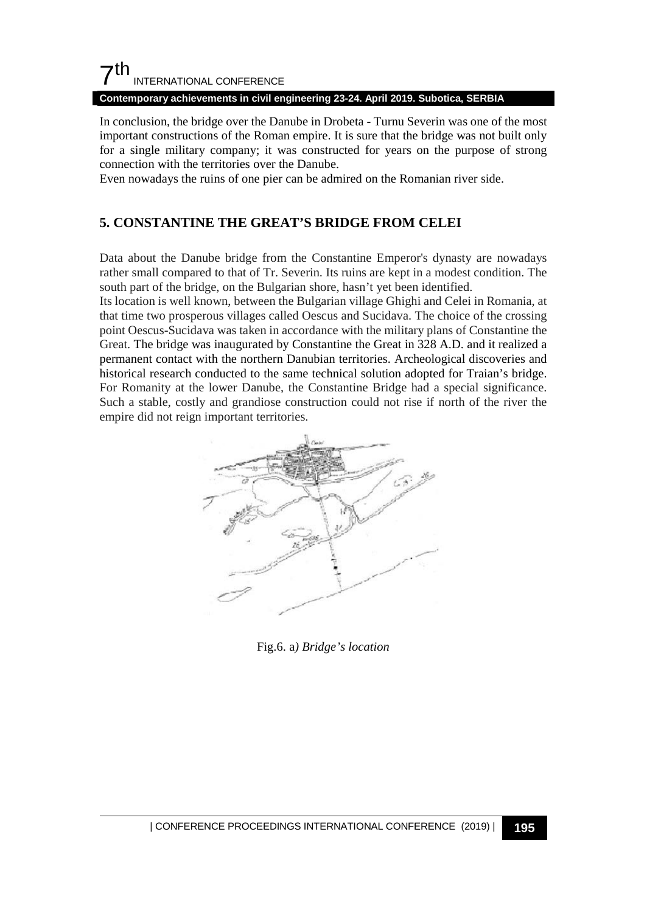**Contemporary achievements in civil engineering 23-24. April 2019. Subotica, SERBIA**

In conclusion, the bridge over the Danube in Drobeta - Turnu Severin was one of the most important constructions of the Roman empire. It is sure that the bridge was not built only for a single military company; it was constructed for years on the purpose of strong connection with the territories over the Danube.

Even nowadays the ruins of one pier can be admired on the Romanian river side.

## **5. CONSTANTINE THE GREAT'S BRIDGE FROM CELEI**

Data about the Danube bridge from the Constantine Emperor's dynasty are nowadays rather small compared to that of Tr. Severin. Its ruins are kept in a modest condition. The south part of the bridge, on the Bulgarian shore, hasn't yet been identified.

Its location is well known, between the Bulgarian village Ghighi and Celei in Romania, at that time two prosperous villages called Oescus and Sucidava. The choice of the crossing point Oescus-Sucidava was taken in accordance with the military plans of Constantine the Great. The bridge was inaugurated by Constantine the Great in 328 A.D. and it realized a permanent contact with the northern Danubian territories. Archeological discoveries and historical research conducted to the same technical solution adopted for Traian's bridge. For Romanity at the lower Danube, the Constantine Bridge had a special significance. Such a stable, costly and grandiose construction could not rise if north of the river the empire did not reign important territories.



Fig.6. a*) Bridge's location*